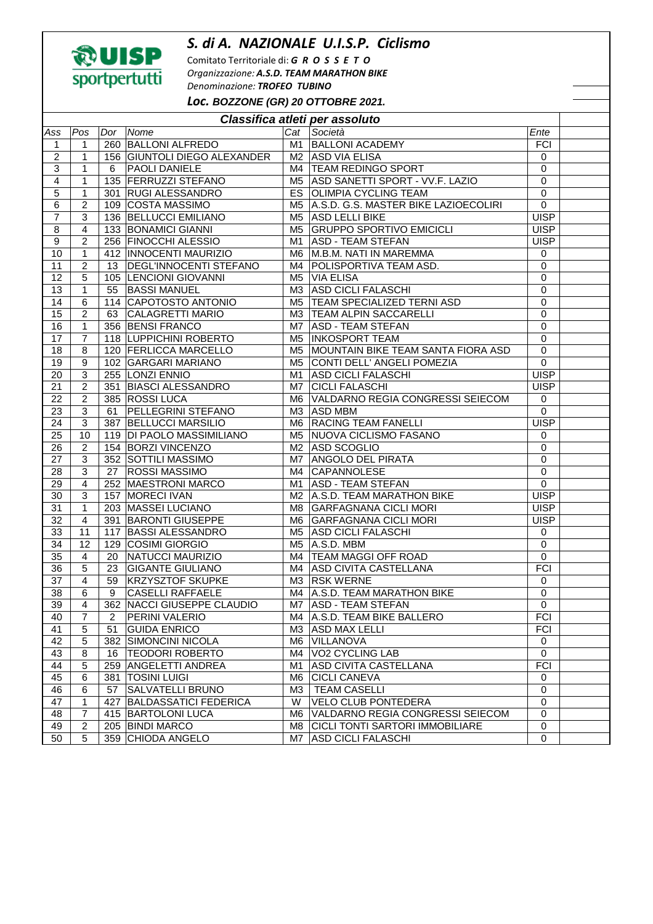## *S. di A. NAZIONALE U.I.S.P. Ciclismo*



Comitato Territoriale di: *G R O S S E T O Organizzazione: A.S.D. TEAM MARATHON BIKE Denominazione: TROFEO TUBINO Loc.* **BOZZONE (GR) 20 OTTOBRE 2021.** 

| Pos<br>Dor<br>Nome<br>Cat<br>Società<br>Ente<br>Ass<br>M1 BALLONI ACADEMY<br><b>FCI</b><br>260 BALLONI ALFREDO<br>$\mathbf{1}$<br>$\mathbf{1}$<br>$\overline{\mathbf{c}}$<br>156 GIUNTOLI DIEGO ALEXANDER<br><b>ASD VIA ELISA</b><br>1<br>M2<br>$\mathbf 0$<br>3<br>1<br><b>PAOLI DANIELE</b><br>TEAM REDINGO SPORT<br>$\mathbf 0$<br>6<br>M4<br>135 FERRUZZI STEFANO<br>1<br>ASD SANETTI SPORT - VV.F. LAZIO<br>$\mathbf 0$<br>4<br>M5<br>301 RUGI ALESSANDRO<br><b>OLIMPIA CYCLING TEAM</b><br>$\overline{0}$<br>5<br>$\mathbf 1$<br>ES<br>$\overline{c}$<br>A.S.D. G.S. MASTER BIKE LAZIOECOLIRI<br>109 COSTA MASSIMO<br>0<br>6<br>M5.<br><b>UISP</b><br>136 BELLUCCI EMILIANO<br>ASD LELLI BIKE<br>7<br>3<br>M5<br><b>GRUPPO SPORTIVO EMICICLI</b><br>8<br>$\overline{4}$<br>133 BONAMICI GIANNI<br><b>UISP</b><br>M <sub>5</sub><br>$\boldsymbol{9}$<br>$\overline{2}$<br>256 FINOCCHI ALESSIO<br><b>ASD - TEAM STEFAN</b><br><b>UISP</b><br>M1<br>10<br>$\mathbf 1$<br>412   INNOCENTI MAURIZIO<br>M.B.M. NATI IN MAREMMA<br>M6<br>0<br><b>DEGL'INNOCENTI STEFANO</b><br>POLISPORTIVA TEAM ASD.<br>11<br>$\overline{c}$<br>$\mathbf 0$<br>13<br>M4<br>0<br>12<br>5<br>105 LENCIONI GIOVANNI<br>M <sub>5</sub><br><b>VIA ELISA</b><br><b>ASD CICLI FALASCHI</b><br>13<br>1<br>0<br>55<br><b>BASSI MANUEL</b><br>ΜЗ<br><b>TEAM SPECIALIZED TERNI ASD</b><br>14<br>6<br>114 CAPOTOSTO ANTONIO<br>0<br>M <sub>5</sub><br>$\overline{2}$<br>0<br>15<br>63<br><b>CALAGRETTI MARIO</b><br>TEAM ALPIN SACCARELLI<br>МЗ | Classifica atleti per assoluto |  |  |  |  |  |  |  |  |  |
|----------------------------------------------------------------------------------------------------------------------------------------------------------------------------------------------------------------------------------------------------------------------------------------------------------------------------------------------------------------------------------------------------------------------------------------------------------------------------------------------------------------------------------------------------------------------------------------------------------------------------------------------------------------------------------------------------------------------------------------------------------------------------------------------------------------------------------------------------------------------------------------------------------------------------------------------------------------------------------------------------------------------------------------------------------------------------------------------------------------------------------------------------------------------------------------------------------------------------------------------------------------------------------------------------------------------------------------------------------------------------------------------------------------------------------------------------------------------------------------------------------------------|--------------------------------|--|--|--|--|--|--|--|--|--|
|                                                                                                                                                                                                                                                                                                                                                                                                                                                                                                                                                                                                                                                                                                                                                                                                                                                                                                                                                                                                                                                                                                                                                                                                                                                                                                                                                                                                                                                                                                                      |                                |  |  |  |  |  |  |  |  |  |
|                                                                                                                                                                                                                                                                                                                                                                                                                                                                                                                                                                                                                                                                                                                                                                                                                                                                                                                                                                                                                                                                                                                                                                                                                                                                                                                                                                                                                                                                                                                      |                                |  |  |  |  |  |  |  |  |  |
|                                                                                                                                                                                                                                                                                                                                                                                                                                                                                                                                                                                                                                                                                                                                                                                                                                                                                                                                                                                                                                                                                                                                                                                                                                                                                                                                                                                                                                                                                                                      |                                |  |  |  |  |  |  |  |  |  |
|                                                                                                                                                                                                                                                                                                                                                                                                                                                                                                                                                                                                                                                                                                                                                                                                                                                                                                                                                                                                                                                                                                                                                                                                                                                                                                                                                                                                                                                                                                                      |                                |  |  |  |  |  |  |  |  |  |
|                                                                                                                                                                                                                                                                                                                                                                                                                                                                                                                                                                                                                                                                                                                                                                                                                                                                                                                                                                                                                                                                                                                                                                                                                                                                                                                                                                                                                                                                                                                      |                                |  |  |  |  |  |  |  |  |  |
|                                                                                                                                                                                                                                                                                                                                                                                                                                                                                                                                                                                                                                                                                                                                                                                                                                                                                                                                                                                                                                                                                                                                                                                                                                                                                                                                                                                                                                                                                                                      |                                |  |  |  |  |  |  |  |  |  |
|                                                                                                                                                                                                                                                                                                                                                                                                                                                                                                                                                                                                                                                                                                                                                                                                                                                                                                                                                                                                                                                                                                                                                                                                                                                                                                                                                                                                                                                                                                                      |                                |  |  |  |  |  |  |  |  |  |
|                                                                                                                                                                                                                                                                                                                                                                                                                                                                                                                                                                                                                                                                                                                                                                                                                                                                                                                                                                                                                                                                                                                                                                                                                                                                                                                                                                                                                                                                                                                      |                                |  |  |  |  |  |  |  |  |  |
|                                                                                                                                                                                                                                                                                                                                                                                                                                                                                                                                                                                                                                                                                                                                                                                                                                                                                                                                                                                                                                                                                                                                                                                                                                                                                                                                                                                                                                                                                                                      |                                |  |  |  |  |  |  |  |  |  |
|                                                                                                                                                                                                                                                                                                                                                                                                                                                                                                                                                                                                                                                                                                                                                                                                                                                                                                                                                                                                                                                                                                                                                                                                                                                                                                                                                                                                                                                                                                                      |                                |  |  |  |  |  |  |  |  |  |
|                                                                                                                                                                                                                                                                                                                                                                                                                                                                                                                                                                                                                                                                                                                                                                                                                                                                                                                                                                                                                                                                                                                                                                                                                                                                                                                                                                                                                                                                                                                      |                                |  |  |  |  |  |  |  |  |  |
|                                                                                                                                                                                                                                                                                                                                                                                                                                                                                                                                                                                                                                                                                                                                                                                                                                                                                                                                                                                                                                                                                                                                                                                                                                                                                                                                                                                                                                                                                                                      |                                |  |  |  |  |  |  |  |  |  |
|                                                                                                                                                                                                                                                                                                                                                                                                                                                                                                                                                                                                                                                                                                                                                                                                                                                                                                                                                                                                                                                                                                                                                                                                                                                                                                                                                                                                                                                                                                                      |                                |  |  |  |  |  |  |  |  |  |
|                                                                                                                                                                                                                                                                                                                                                                                                                                                                                                                                                                                                                                                                                                                                                                                                                                                                                                                                                                                                                                                                                                                                                                                                                                                                                                                                                                                                                                                                                                                      |                                |  |  |  |  |  |  |  |  |  |
|                                                                                                                                                                                                                                                                                                                                                                                                                                                                                                                                                                                                                                                                                                                                                                                                                                                                                                                                                                                                                                                                                                                                                                                                                                                                                                                                                                                                                                                                                                                      |                                |  |  |  |  |  |  |  |  |  |
|                                                                                                                                                                                                                                                                                                                                                                                                                                                                                                                                                                                                                                                                                                                                                                                                                                                                                                                                                                                                                                                                                                                                                                                                                                                                                                                                                                                                                                                                                                                      |                                |  |  |  |  |  |  |  |  |  |
| 356 BENSI FRANCO<br>0<br>16<br>$\mathbf 1$<br><b>ASD - TEAM STEFAN</b><br>M7                                                                                                                                                                                                                                                                                                                                                                                                                                                                                                                                                                                                                                                                                                                                                                                                                                                                                                                                                                                                                                                                                                                                                                                                                                                                                                                                                                                                                                         |                                |  |  |  |  |  |  |  |  |  |
| $\overline{7}$<br>M5 INKOSPORT TEAM<br>$\mathbf 0$<br>118 LUPPICHINI ROBERTO<br>17                                                                                                                                                                                                                                                                                                                                                                                                                                                                                                                                                                                                                                                                                                                                                                                                                                                                                                                                                                                                                                                                                                                                                                                                                                                                                                                                                                                                                                   |                                |  |  |  |  |  |  |  |  |  |
| $\pmb{0}$<br>8<br>120 FERLICCA MARCELLO<br>MOUNTAIN BIKE TEAM SANTA FIORA ASD<br>18<br>M5                                                                                                                                                                                                                                                                                                                                                                                                                                                                                                                                                                                                                                                                                                                                                                                                                                                                                                                                                                                                                                                                                                                                                                                                                                                                                                                                                                                                                            |                                |  |  |  |  |  |  |  |  |  |
| 0<br>19<br>9<br>102 GARGARI MARIANO<br>CONTI DELL' ANGELI POMEZIA<br>M5                                                                                                                                                                                                                                                                                                                                                                                                                                                                                                                                                                                                                                                                                                                                                                                                                                                                                                                                                                                                                                                                                                                                                                                                                                                                                                                                                                                                                                              |                                |  |  |  |  |  |  |  |  |  |
| <b>UISP</b><br>3<br>255 LONZI ENNIO<br><b>ASD CICLI FALASCHI</b><br>20<br>M1                                                                                                                                                                                                                                                                                                                                                                                                                                                                                                                                                                                                                                                                                                                                                                                                                                                                                                                                                                                                                                                                                                                                                                                                                                                                                                                                                                                                                                         |                                |  |  |  |  |  |  |  |  |  |
| 21<br>$\overline{c}$<br>351 BIASCI ALESSANDRO<br><b>CICLI FALASCHI</b><br><b>UISP</b><br>M7                                                                                                                                                                                                                                                                                                                                                                                                                                                                                                                                                                                                                                                                                                                                                                                                                                                                                                                                                                                                                                                                                                                                                                                                                                                                                                                                                                                                                          |                                |  |  |  |  |  |  |  |  |  |
| $\overline{c}$<br>VALDARNO REGIA CONGRESSI SEIECOM<br>22<br>385 ROSSI LUCA<br>$\mathbf 0$<br>M6.                                                                                                                                                                                                                                                                                                                                                                                                                                                                                                                                                                                                                                                                                                                                                                                                                                                                                                                                                                                                                                                                                                                                                                                                                                                                                                                                                                                                                     |                                |  |  |  |  |  |  |  |  |  |
| PELLEGRINI STEFANO<br>$\mathbf 0$<br>23<br>3<br><b>ASD MBM</b><br>61<br>МЗ                                                                                                                                                                                                                                                                                                                                                                                                                                                                                                                                                                                                                                                                                                                                                                                                                                                                                                                                                                                                                                                                                                                                                                                                                                                                                                                                                                                                                                           |                                |  |  |  |  |  |  |  |  |  |
| <b>UISP</b><br>3<br>M6 RACING TEAM FANELLI<br>24<br>387 BELLUCCI MARSILIO                                                                                                                                                                                                                                                                                                                                                                                                                                                                                                                                                                                                                                                                                                                                                                                                                                                                                                                                                                                                                                                                                                                                                                                                                                                                                                                                                                                                                                            |                                |  |  |  |  |  |  |  |  |  |
| M5 NUOVA CICLISMO FASANO<br>25<br>10<br>119 DI PAOLO MASSIMILIANO<br>0                                                                                                                                                                                                                                                                                                                                                                                                                                                                                                                                                                                                                                                                                                                                                                                                                                                                                                                                                                                                                                                                                                                                                                                                                                                                                                                                                                                                                                               |                                |  |  |  |  |  |  |  |  |  |
| $\overline{c}$<br>154 BORZI VINCENZO<br>0<br>26<br>M2<br><b>ASD SCOGLIO</b>                                                                                                                                                                                                                                                                                                                                                                                                                                                                                                                                                                                                                                                                                                                                                                                                                                                                                                                                                                                                                                                                                                                                                                                                                                                                                                                                                                                                                                          |                                |  |  |  |  |  |  |  |  |  |
| 0<br>27<br>3<br>352 SOTTILI MASSIMO<br>ANGOLO DEL PIRATA<br>M7.                                                                                                                                                                                                                                                                                                                                                                                                                                                                                                                                                                                                                                                                                                                                                                                                                                                                                                                                                                                                                                                                                                                                                                                                                                                                                                                                                                                                                                                      |                                |  |  |  |  |  |  |  |  |  |
| 3<br>28<br><b>ROSSI MASSIMO</b><br><b>CAPANNOLESE</b><br>$\pmb{0}$<br>27<br>M4                                                                                                                                                                                                                                                                                                                                                                                                                                                                                                                                                                                                                                                                                                                                                                                                                                                                                                                                                                                                                                                                                                                                                                                                                                                                                                                                                                                                                                       |                                |  |  |  |  |  |  |  |  |  |
| $\overline{0}$<br>29<br>$\overline{4}$<br>252 MAESTRONI MARCO<br><b>ASD - TEAM STEFAN</b><br>M1                                                                                                                                                                                                                                                                                                                                                                                                                                                                                                                                                                                                                                                                                                                                                                                                                                                                                                                                                                                                                                                                                                                                                                                                                                                                                                                                                                                                                      |                                |  |  |  |  |  |  |  |  |  |
| <b>UISP</b><br>30<br>3<br>157 MORECI IVAN<br>A.S.D. TEAM MARATHON BIKE<br>M <sub>2</sub>                                                                                                                                                                                                                                                                                                                                                                                                                                                                                                                                                                                                                                                                                                                                                                                                                                                                                                                                                                                                                                                                                                                                                                                                                                                                                                                                                                                                                             |                                |  |  |  |  |  |  |  |  |  |
| 31<br>$\mathbf 1$<br>203   MASSEI LUCIANO<br><b>GARFAGNANA CICLI MORI</b><br><b>UISP</b><br>M8                                                                                                                                                                                                                                                                                                                                                                                                                                                                                                                                                                                                                                                                                                                                                                                                                                                                                                                                                                                                                                                                                                                                                                                                                                                                                                                                                                                                                       |                                |  |  |  |  |  |  |  |  |  |
| 32<br>$\overline{4}$<br>391 BARONTI GIUSEPPE<br><b>GARFAGNANA CICLI MORI</b><br><b>UISP</b><br>M6                                                                                                                                                                                                                                                                                                                                                                                                                                                                                                                                                                                                                                                                                                                                                                                                                                                                                                                                                                                                                                                                                                                                                                                                                                                                                                                                                                                                                    |                                |  |  |  |  |  |  |  |  |  |
| 33<br>117 BASSI ALESSANDRO<br><b>ASD CICLI FALASCHI</b><br>11<br>M <sub>5</sub><br>0                                                                                                                                                                                                                                                                                                                                                                                                                                                                                                                                                                                                                                                                                                                                                                                                                                                                                                                                                                                                                                                                                                                                                                                                                                                                                                                                                                                                                                 |                                |  |  |  |  |  |  |  |  |  |
| 34<br>12<br>129 COSIMI GIORGIO<br>A.S.D. MBM<br>$\pmb{0}$<br>M5                                                                                                                                                                                                                                                                                                                                                                                                                                                                                                                                                                                                                                                                                                                                                                                                                                                                                                                                                                                                                                                                                                                                                                                                                                                                                                                                                                                                                                                      |                                |  |  |  |  |  |  |  |  |  |
| $\overline{35}$<br>$\overline{0}$<br>NATUCCI MAURIZIO<br>4<br>20<br>TEAM MAGGI OFF ROAD<br>M4                                                                                                                                                                                                                                                                                                                                                                                                                                                                                                                                                                                                                                                                                                                                                                                                                                                                                                                                                                                                                                                                                                                                                                                                                                                                                                                                                                                                                        |                                |  |  |  |  |  |  |  |  |  |
| <b>FCI</b><br>5<br><b>GIGANTE GIULIANO</b><br><b>ASD CIVITA CASTELLANA</b><br>36<br>23<br>M4                                                                                                                                                                                                                                                                                                                                                                                                                                                                                                                                                                                                                                                                                                                                                                                                                                                                                                                                                                                                                                                                                                                                                                                                                                                                                                                                                                                                                         |                                |  |  |  |  |  |  |  |  |  |
| 4<br>37<br>59<br><b>KRZYSZTOF SKUPKE</b><br><b>RSK WERNE</b><br>M3<br>$\,0\,$                                                                                                                                                                                                                                                                                                                                                                                                                                                                                                                                                                                                                                                                                                                                                                                                                                                                                                                                                                                                                                                                                                                                                                                                                                                                                                                                                                                                                                        |                                |  |  |  |  |  |  |  |  |  |
| 38<br>6<br>9<br><b>CASELLI RAFFAELE</b><br>A.S.D. TEAM MARATHON BIKE<br>0<br>M4                                                                                                                                                                                                                                                                                                                                                                                                                                                                                                                                                                                                                                                                                                                                                                                                                                                                                                                                                                                                                                                                                                                                                                                                                                                                                                                                                                                                                                      |                                |  |  |  |  |  |  |  |  |  |
| 39<br>4<br>362 NACCI GIUSEPPE CLAUDIO<br>M7  ASD - TEAM STEFAN<br>0                                                                                                                                                                                                                                                                                                                                                                                                                                                                                                                                                                                                                                                                                                                                                                                                                                                                                                                                                                                                                                                                                                                                                                                                                                                                                                                                                                                                                                                  |                                |  |  |  |  |  |  |  |  |  |
| <b>FCI</b><br>40<br>$\overline{7}$<br>A.S.D. TEAM BIKE BALLERO<br>2<br>PERINI VALERIO<br>M4                                                                                                                                                                                                                                                                                                                                                                                                                                                                                                                                                                                                                                                                                                                                                                                                                                                                                                                                                                                                                                                                                                                                                                                                                                                                                                                                                                                                                          |                                |  |  |  |  |  |  |  |  |  |
| <b>FCI</b><br>41<br>5<br><b>GUIDA ENRICO</b><br><b>ASD MAX LELLI</b><br>МЗ<br>51                                                                                                                                                                                                                                                                                                                                                                                                                                                                                                                                                                                                                                                                                                                                                                                                                                                                                                                                                                                                                                                                                                                                                                                                                                                                                                                                                                                                                                     |                                |  |  |  |  |  |  |  |  |  |
| 5<br>382 SIMONCINI NICOLA<br><b>VILLANOVA</b><br>42<br>0<br>M6                                                                                                                                                                                                                                                                                                                                                                                                                                                                                                                                                                                                                                                                                                                                                                                                                                                                                                                                                                                                                                                                                                                                                                                                                                                                                                                                                                                                                                                       |                                |  |  |  |  |  |  |  |  |  |
| 43<br>16 TEODORI ROBERTO<br><b>VO2 CYCLING LAB</b><br>8<br>$\mathbf 0$<br>M4                                                                                                                                                                                                                                                                                                                                                                                                                                                                                                                                                                                                                                                                                                                                                                                                                                                                                                                                                                                                                                                                                                                                                                                                                                                                                                                                                                                                                                         |                                |  |  |  |  |  |  |  |  |  |
| <b>FCI</b><br>44<br>5<br>259 ANGELETTI ANDREA<br>ASD CIVITA CASTELLANA<br>M1                                                                                                                                                                                                                                                                                                                                                                                                                                                                                                                                                                                                                                                                                                                                                                                                                                                                                                                                                                                                                                                                                                                                                                                                                                                                                                                                                                                                                                         |                                |  |  |  |  |  |  |  |  |  |
| 45<br>381   TOSINI LUIGI<br><b>CICLI CANEVA</b><br>6<br>M6<br>0                                                                                                                                                                                                                                                                                                                                                                                                                                                                                                                                                                                                                                                                                                                                                                                                                                                                                                                                                                                                                                                                                                                                                                                                                                                                                                                                                                                                                                                      |                                |  |  |  |  |  |  |  |  |  |
| 46<br>$\pmb{0}$<br>6<br>SALVATELLI BRUNO<br><b>TEAM CASELLI</b><br>57<br>ΜЗ                                                                                                                                                                                                                                                                                                                                                                                                                                                                                                                                                                                                                                                                                                                                                                                                                                                                                                                                                                                                                                                                                                                                                                                                                                                                                                                                                                                                                                          |                                |  |  |  |  |  |  |  |  |  |
| <b>VELO CLUB PONTEDERA</b><br>47<br>1<br>427 BALDASSATICI FEDERICA<br>$\mathbf 0$<br>W                                                                                                                                                                                                                                                                                                                                                                                                                                                                                                                                                                                                                                                                                                                                                                                                                                                                                                                                                                                                                                                                                                                                                                                                                                                                                                                                                                                                                               |                                |  |  |  |  |  |  |  |  |  |
| VALDARNO REGIA CONGRESSI SEIECOM<br>$\pmb{0}$<br>7<br>415 BARTOLONI LUCA<br>48<br>M6.                                                                                                                                                                                                                                                                                                                                                                                                                                                                                                                                                                                                                                                                                                                                                                                                                                                                                                                                                                                                                                                                                                                                                                                                                                                                                                                                                                                                                                |                                |  |  |  |  |  |  |  |  |  |
| 49<br>$\overline{c}$<br>205 BINDI MARCO<br>CICLI TONTI SARTORI IMMOBILIARE<br>0<br>M8                                                                                                                                                                                                                                                                                                                                                                                                                                                                                                                                                                                                                                                                                                                                                                                                                                                                                                                                                                                                                                                                                                                                                                                                                                                                                                                                                                                                                                |                                |  |  |  |  |  |  |  |  |  |
| 359 CHIODA ANGELO<br><b>ASD CICLI FALASCHI</b><br>50<br>5<br>$\mathbf 0$<br>M7                                                                                                                                                                                                                                                                                                                                                                                                                                                                                                                                                                                                                                                                                                                                                                                                                                                                                                                                                                                                                                                                                                                                                                                                                                                                                                                                                                                                                                       |                                |  |  |  |  |  |  |  |  |  |